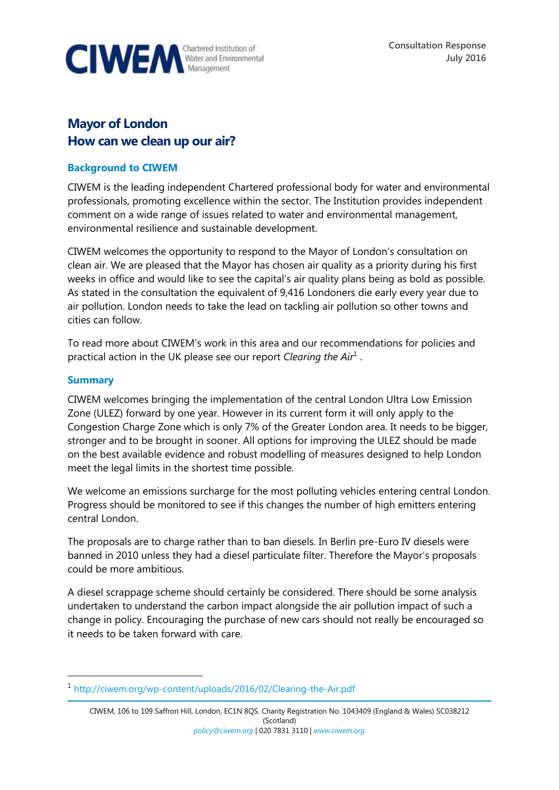

**Consultation Response July 2016**

# **Mayor of London How can we clean up our air?**

### **Background to CIWEM**

CIWEM is the leading independent Chartered professional body for water and environmental professionals, promoting excellence within the sector. The Institution provides independent comment on a wide range of issues related to water and environmental management, environmental resilience and sustainable development.

CIWEM welcomes the opportunity to respond to the Mayor of London's consultation on clean air. We are pleased that the Mayor has chosen air quality as a priority during his first weeks in office and would like to see the capital's air quality plans being as bold as possible. As stated in the consultation the equivalent of 9,416 Londoners die early every year due to air pollution. London needs to take the lead on tackling air pollution so other towns and cities can follow.

To read more about CIWEM's work in this area and our recommendations for policies and practical action in the UK please see our report *Clearing the Air*<sup>1</sup>.

#### **Summary**

 $\overline{a}$ 

CIWEM welcomes bringing the implementation of the central London Ultra Low Emission Zone (ULEZ) forward by one year. However in its current form it will only apply to the Congestion Charge Zone which is only 7% of the Greater London area. It needs to be bigger, stronger and to be brought in sooner. All options for improving the ULEZ should be made on the best available evidence and robust modelling of measures designed to help London meet the legal limits in the shortest time possible.

We welcome an emissions surcharge for the most polluting vehicles entering central London. Progress should be monitored to see if this changes the number of high emitters entering central London.

The proposals are to charge rather than to ban diesels. In Berlin pre-Euro IV diesels were banned in 2010 unless they had a diesel particulate filter. Therefore the Mayor's proposals could be more ambitious.

A diesel scrappage scheme should certainly be considered. There should be some analysis undertaken to understand the carbon impact alongside the air pollution impact of such a change in policy. Encouraging the purchase of new cars should not really be encouraged so it needs to be taken forward with care.

<sup>1</sup> <http://ciwem.org/wp-content/uploads/2016/02/Clearing-the-Air.pdf>

CIWEM, 106 to 109 Saffron Hill, London, EC1N 8QS. Charity Registration No. 1043409 (England & Wales) SC038212 (Scotland) *[policy@ciwem.org](mailto:policy@ciwem.org)* | 020 7831 3110 | *[www.ciwem.org](http://www.ciwem.org/)*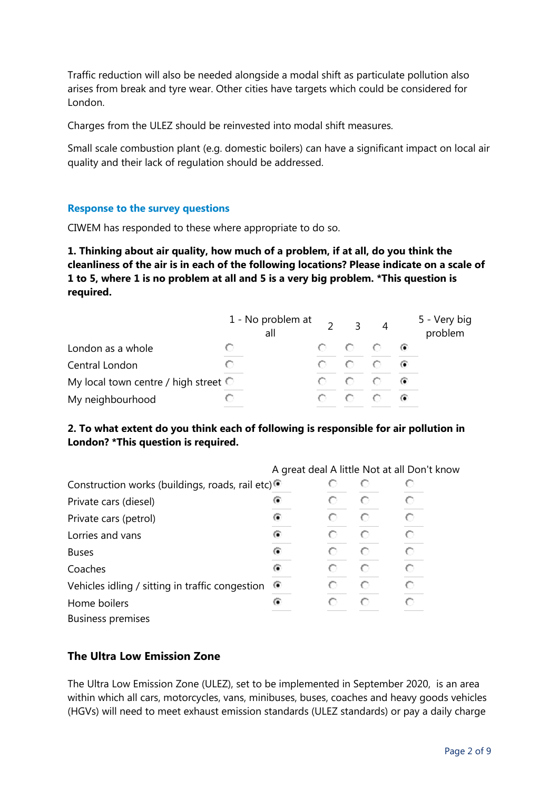Traffic reduction will also be needed alongside a modal shift as particulate pollution also arises from break and tyre wear. Other cities have targets which could be considered for London.

Charges from the ULEZ should be reinvested into modal shift measures.

Small scale combustion plant (e.g. domestic boilers) can have a significant impact on local air quality and their lack of regulation should be addressed.

#### **Response to the survey questions**

CIWEM has responded to these where appropriate to do so.

**1. Thinking about air quality, how much of a problem, if at all, do you think the cleanliness of the air is in each of the following locations? Please indicate on a scale of 1 to 5, where 1 is no problem at all and 5 is a very big problem. \*This question is required.**

|                                                 | 1 - No problem at<br>all | $\overline{3}$ | $\overline{4}$ | 5 - Very big<br>problem |
|-------------------------------------------------|--------------------------|----------------|----------------|-------------------------|
| London as a whole                               | ∩                        | 000            |                | $\bullet$               |
| Central London                                  |                          | .              |                |                         |
| My local town centre / high street $\heartsuit$ |                          | .              |                |                         |
| My neighbourhood                                |                          | .              |                |                         |

### **2. To what extent do you think each of following is responsible for air pollution in London? \*This question is required.**

|                                                 |           |    |   | A great deal A little Not at all Don't know |
|-------------------------------------------------|-----------|----|---|---------------------------------------------|
| Construction works (buildings, roads, rail etc) |           |    | O | O                                           |
| Private cars (diesel)                           | ⊙         | o  | € | О                                           |
| Private cars (petrol)                           | ۰         |    | € | О                                           |
| Lorries and vans                                | $\bullet$ | O. | € | O                                           |
| <b>Buses</b>                                    | $\bullet$ | o  | € | О                                           |
| Coaches                                         | $\bullet$ | o  | € | O                                           |
| Vehicles idling / sitting in traffic congestion |           | O. | € | O                                           |
| Home boilers                                    | €         | o  | € | O                                           |
| <b>Business premises</b>                        |           |    |   |                                             |

### **The Ultra Low Emission Zone**

The Ultra Low Emission Zone (ULEZ), set to be implemented in September 2020, is an area within which all cars, motorcycles, vans, minibuses, buses, coaches and heavy goods vehicles (HGVs) will need to meet exhaust emission standards (ULEZ standards) or pay a daily charge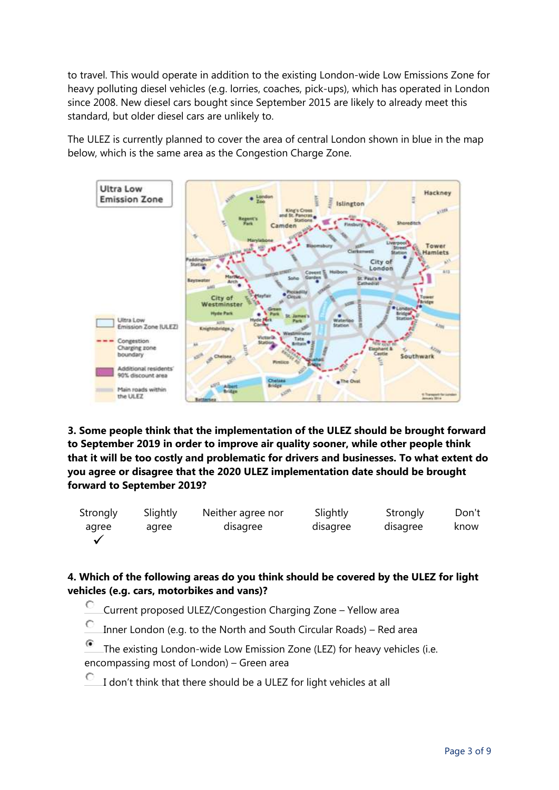to travel. This would operate in addition to the existing London-wide Low Emissions Zone for heavy polluting diesel vehicles (e.g. lorries, coaches, pick-ups), which has operated in London since 2008. New diesel cars bought since September 2015 are likely to already meet this standard, but older diesel cars are unlikely to.

The ULEZ is currently planned to cover the area of central London shown in blue in the map below, which is the same area as the Congestion Charge Zone.



**3. Some people think that the implementation of the ULEZ should be brought forward to September 2019 in order to improve air quality sooner, while other people think that it will be too costly and problematic for drivers and businesses. To what extent do you agree or disagree that the 2020 ULEZ implementation date should be brought forward to September 2019?**

| Strongly | Slightly | Neither agree nor | Slightly | Strongly | Don't |
|----------|----------|-------------------|----------|----------|-------|
| agree    | agree    | disagree          | disagree | disagree | know  |
|          |          |                   |          |          |       |

### **4. Which of the following areas do you think should be covered by the ULEZ for light vehicles (e.g. cars, motorbikes and vans)?**

- С Current proposed ULEZ/Congestion Charging Zone – Yellow area
- С Inner London (e.g. to the North and South Circular Roads) – Red area
- G The existing London-wide Low Emission Zone (LEZ) for heavy vehicles (i.e. encompassing most of London) – Green area
- С I don't think that there should be a ULEZ for light vehicles at all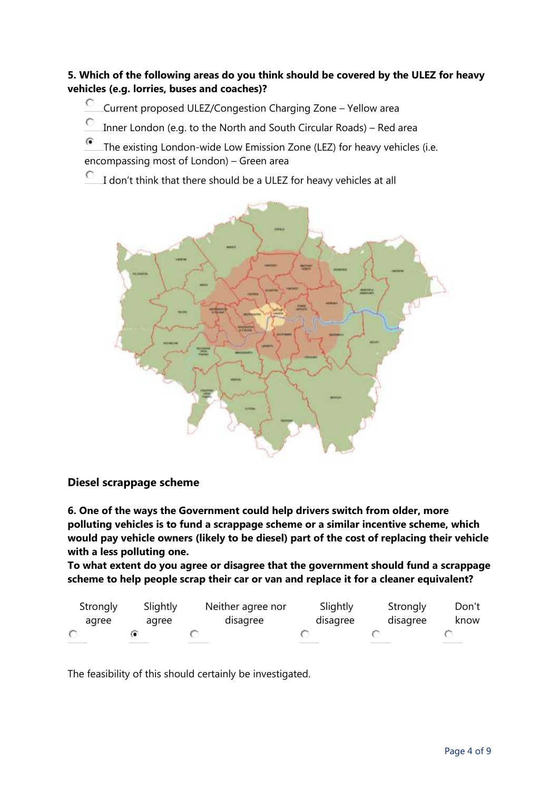**5. Which of the following areas do you think should be covered by the ULEZ for heavy vehicles (e.g. lorries, buses and coaches)?**

 $\circ$ Current proposed ULEZ/Congestion Charging Zone – Yellow area

Ċ Inner London (e.g. to the North and South Circular Roads) – Red area

 $\bullet$ The existing London-wide Low Emission Zone (LEZ) for heavy vehicles (i.e. encompassing most of London) – Green area

O I don't think that there should be a ULEZ for heavy vehicles at all



**Diesel scrappage scheme**

**6. One of the ways the Government could help drivers switch from older, more polluting vehicles is to fund a scrappage scheme or a similar incentive scheme, which would pay vehicle owners (likely to be diesel) part of the cost of replacing their vehicle with a less polluting one.**

**To what extent do you agree or disagree that the government should fund a scrappage scheme to help people scrap their car or van and replace it for a cleaner equivalent?**

| Strongly | Slightly | Neither agree nor | Slightly | Strongly | Don't |
|----------|----------|-------------------|----------|----------|-------|
| agree    | agree    | disagree          | disagree | disagree | know  |
|          |          |                   |          |          |       |

The feasibility of this should certainly be investigated.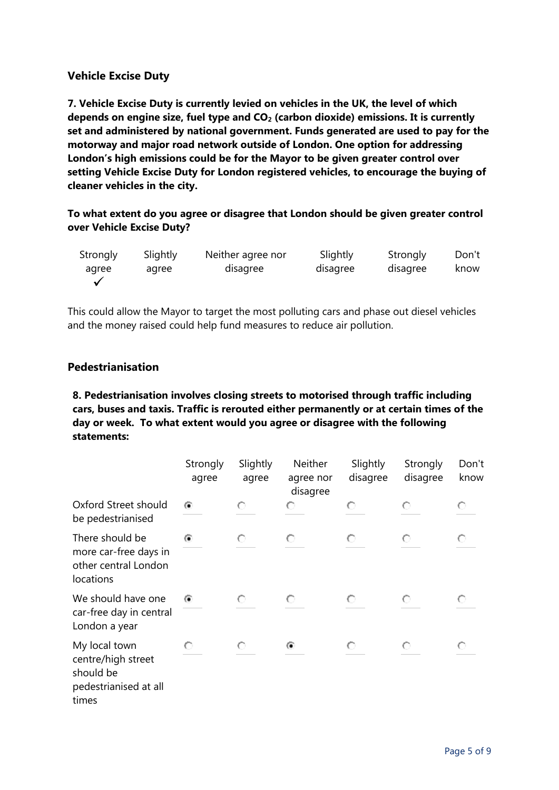### **Vehicle Excise Duty**

**7. Vehicle Excise Duty is currently levied on vehicles in the UK, the level of which depends on engine size, fuel type and CO<sup>2</sup> (carbon dioxide) emissions. It is currently set and administered by national government. Funds generated are used to pay for the motorway and major road network outside of London. One option for addressing London's high emissions could be for the Mayor to be given greater control over setting Vehicle Excise Duty for London registered vehicles, to encourage the buying of cleaner vehicles in the city.**

**To what extent do you agree or disagree that London should be given greater control over Vehicle Excise Duty?**

| Strongly | Slightly | Neither agree nor | Slightly | Strongly | Don't |
|----------|----------|-------------------|----------|----------|-------|
| agree    | agree    | disagree          | disagree | disagree | know  |
|          |          |                   |          |          |       |

This could allow the Mayor to target the most polluting cars and phase out diesel vehicles and the money raised could help fund measures to reduce air pollution.

### **Pedestrianisation**

**8. Pedestrianisation involves closing streets to motorised through traffic including cars, buses and taxis. Traffic is rerouted either permanently or at certain times of the day or week. To what extent would you agree or disagree with the following statements:**

|                                                                                    | Strongly<br>agree | Slightly<br>agree | Neither<br>agree nor<br>disagree | Slightly<br>disagree | Strongly<br>disagree | Don't<br>know |
|------------------------------------------------------------------------------------|-------------------|-------------------|----------------------------------|----------------------|----------------------|---------------|
| Oxford Street should<br>be pedestrianised                                          | G                 | O                 | О                                | O                    | O                    | O             |
| There should be<br>more car-free days in<br>other central London<br>locations      | G                 | O                 | O                                | O                    | O                    | O             |
| We should have one<br>car-free day in central<br>London a year                     | G                 | O                 | O                                | O                    | O                    | O             |
| My local town<br>centre/high street<br>should be<br>pedestrianised at all<br>times | O                 | O                 | $\bullet$                        | О                    | O                    | O             |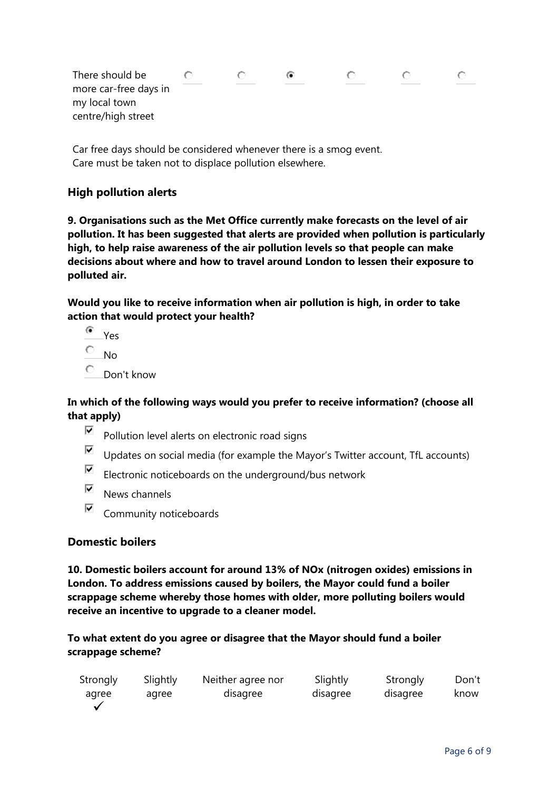| There should be       |  |  |  |
|-----------------------|--|--|--|
| more car-free days in |  |  |  |
| my local town         |  |  |  |
| centre/high street    |  |  |  |

Car free days should be considered whenever there is a smog event. Care must be taken not to displace pollution elsewhere.

# **High pollution alerts**

**9. Organisations such as the Met Office currently make forecasts on the level of air pollution. It has been suggested that alerts are provided when pollution is particularly high, to help raise awareness of the air pollution levels so that people can make decisions about where and how to travel around London to lessen their exposure to polluted air.**

**Would you like to receive information when air pollution is high, in order to take action that would protect your health?**

- $\bullet$ Yes
- $\circ$ No
- Ō Don't know

### **In which of the following ways would you prefer to receive information? (choose all that apply)**

- $\overline{\blacktriangledown}$ Pollution level alerts on electronic road signs
- $\overline{\blacktriangledown}$ Updates on social media (for example the Mayor's Twitter account, TfL accounts)
- $\overline{\blacktriangledown}$ Electronic noticeboards on the underground/bus network
- $\overline{\blacktriangledown}$ News channels
- $\overline{\blacktriangledown}$ Community noticeboards

## **Domestic boilers**

**10. Domestic boilers account for around 13% of NOx (nitrogen oxides) emissions in London. To address emissions caused by boilers, the Mayor could fund a boiler scrappage scheme whereby those homes with older, more polluting boilers would receive an incentive to upgrade to a cleaner model.**

### **To what extent do you agree or disagree that the Mayor should fund a boiler scrappage scheme?**

| Strongly | Slightly | Neither agree nor | Slightly | Strongly | Don't |
|----------|----------|-------------------|----------|----------|-------|
| agree    | agree    | disagree          | disagree | disagree | know  |
|          |          |                   |          |          |       |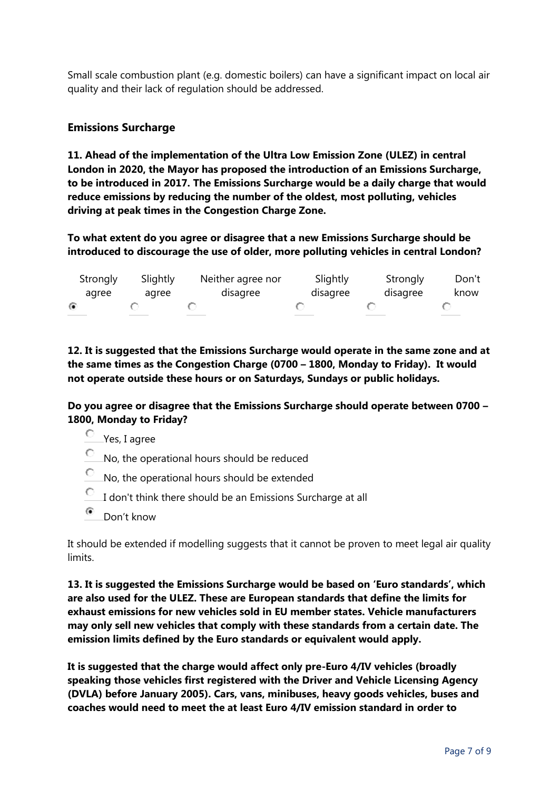Small scale combustion plant (e.g. domestic boilers) can have a significant impact on local air quality and their lack of regulation should be addressed.

### **Emissions Surcharge**

**11. Ahead of the implementation of the Ultra Low Emission Zone (ULEZ) in central London in 2020, the Mayor has proposed the introduction of an Emissions Surcharge, to be introduced in 2017. The Emissions Surcharge would be a daily charge that would reduce emissions by reducing the number of the oldest, most polluting, vehicles driving at peak times in the Congestion Charge Zone.**

**To what extent do you agree or disagree that a new Emissions Surcharge should be introduced to discourage the use of older, more polluting vehicles in central London?**

| Strongly  | Slightly | Neither agree nor | Slightly | Strongly | Don't |
|-----------|----------|-------------------|----------|----------|-------|
| agree     | agree    | disagree          | disagree | disagree | know  |
| $\bullet$ |          |                   |          |          |       |

**12. It is suggested that the Emissions Surcharge would operate in the same zone and at the same times as the Congestion Charge (0700 – 1800, Monday to Friday). It would not operate outside these hours or on Saturdays, Sundays or public holidays.**

**Do you agree or disagree that the Emissions Surcharge should operate between 0700 – 1800, Monday to Friday?**

- Yes, I agree
- No, the operational hours should be reduced
- $\circ$ No, the operational hours should be extended
- 0 I don't think there should be an Emissions Surcharge at all
- $\bullet$ Don't know

It should be extended if modelling suggests that it cannot be proven to meet legal air quality limits.

**13. It is suggested the Emissions Surcharge would be based on 'Euro standards', which are also used for the ULEZ. These are European standards that define the limits for exhaust emissions for new vehicles sold in EU member states. Vehicle manufacturers may only sell new vehicles that comply with these standards from a certain date. The emission limits defined by the Euro standards or equivalent would apply.**

**It is suggested that the charge would affect only pre-Euro 4/IV vehicles (broadly speaking those vehicles first registered with the Driver and Vehicle Licensing Agency (DVLA) before January 2005). Cars, vans, minibuses, heavy goods vehicles, buses and coaches would need to meet the at least Euro 4/IV emission standard in order to**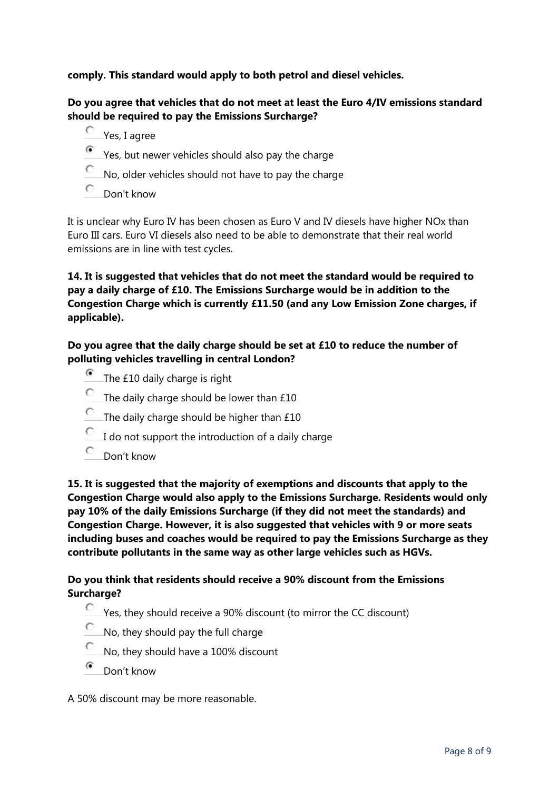**comply. This standard would apply to both petrol and diesel vehicles.**

**Do you agree that vehicles that do not meet at least the Euro 4/IV emissions standard should be required to pay the Emissions Surcharge?**

- Yes, I agree
- 6 Yes, but newer vehicles should also pay the charge
- O No, older vehicles should not have to pay the charge
- O Don't know

It is unclear why Euro IV has been chosen as Euro V and IV diesels have higher NOx than Euro III cars. Euro VI diesels also need to be able to demonstrate that their real world emissions are in line with test cycles.

**14. It is suggested that vehicles that do not meet the standard would be required to pay a daily charge of £10. The Emissions Surcharge would be in addition to the Congestion Charge which is currently £11.50 (and any Low Emission Zone charges, if applicable).**

### **Do you agree that the daily charge should be set at £10 to reduce the number of polluting vehicles travelling in central London?**

- $\bullet$ The £10 daily charge is right
- 0. The daily charge should be lower than £10
- Ο. The daily charge should be higher than £10
- $\circ$ I do not support the introduction of a daily charge
- Ö Don't know

**15. It is suggested that the majority of exemptions and discounts that apply to the Congestion Charge would also apply to the Emissions Surcharge. Residents would only pay 10% of the daily Emissions Surcharge (if they did not meet the standards) and Congestion Charge. However, it is also suggested that vehicles with 9 or more seats including buses and coaches would be required to pay the Emissions Surcharge as they contribute pollutants in the same way as other large vehicles such as HGVs.**

### **Do you think that residents should receive a 90% discount from the Emissions Surcharge?**

- 0 Yes, they should receive a 90% discount (to mirror the CC discount)
- О No, they should pay the full charge
- Ċ No, they should have a 100% discount
- G. Don't know

A 50% discount may be more reasonable.